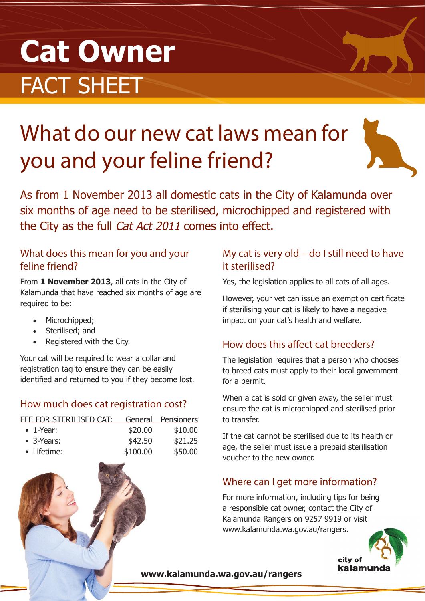# **Cat Owner** FACT SHEET

## What do our new cat laws mean for you and your feline friend?

As from 1 November 2013 all domestic cats in the City of Kalamunda over six months of age need to be sterilised, microchipped and registered with the City as the full Cat Act 2011 comes into effect.

#### What does this mean for you and your feline friend?

From **1 November 2013**, all cats in the City of Kalamunda that have reached six months of age are required to be:

- Microchipped;
- Sterilised; and
- Registered with the City.

Your cat will be required to wear a collar and registration tag to ensure they can be easily identified and returned to you if they become lost.

#### How much does cat registration cost?

| FEE FOR STERILISED CAT: |          | General Pensioners |
|-------------------------|----------|--------------------|
| $\bullet$ 1-Year:       | \$20.00  | \$10.00            |
| $\bullet$ 3-Years:      | \$42.50  | \$21.25            |
| • Lifetime:             | \$100.00 | \$50.00            |

#### My cat is very old – do I still need to have it sterilised?

Yes, the legislation applies to all cats of all ages.

However, your vet can issue an exemption certificate if sterilising your cat is likely to have a negative impact on your cat's health and welfare.

#### How does this affect cat breeders?

The legislation requires that a person who chooses to breed cats must apply to their local government for a permit.

When a cat is sold or given away, the seller must ensure the cat is microchipped and sterilised prior to transfer.

If the cat cannot be sterilised due to its health or age, the seller must issue a prepaid sterilisation voucher to the new owner.

#### Where can I get more information?

For more information, including tips for being a responsible cat owner, contact the City of Kalamunda Rangers on 9257 9919 or visit www.kalamunda.wa.gov.au/rangers.



**www.kalamunda.wa.gov.au/rangers**